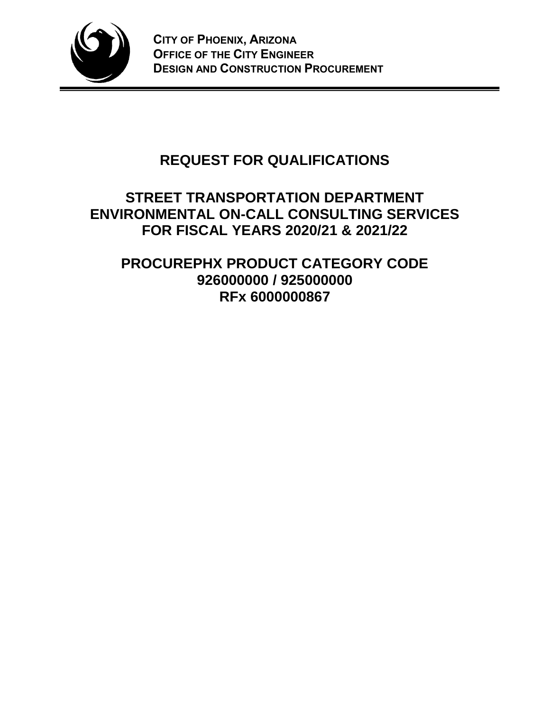

# **REQUEST FOR QUALIFICATIONS**

# **STREET TRANSPORTATION DEPARTMENT ENVIRONMENTAL ON-CALL CONSULTING SERVICES FOR FISCAL YEARS 2020/21 & 2021/22**

# **PROCUREPHX PRODUCT CATEGORY CODE 926000000 / 925000000 RFx 6000000867**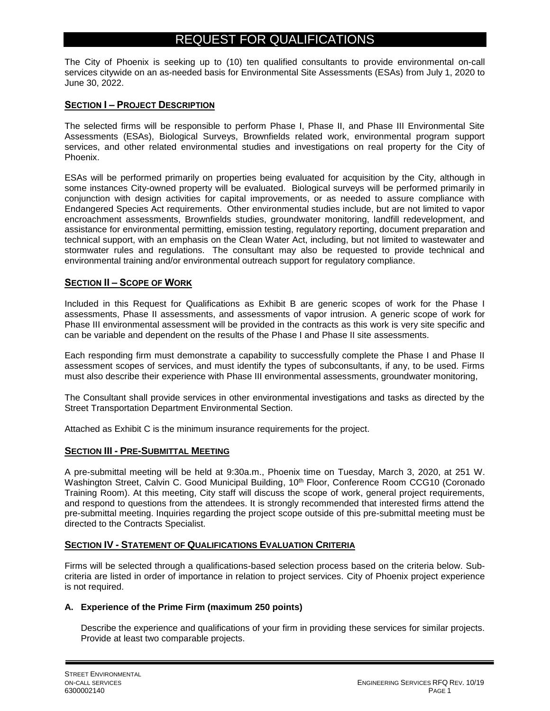# REQUEST FOR QUALIFICATIONS

The City of Phoenix is seeking up to (10) ten qualified consultants to provide environmental on-call services citywide on an as-needed basis for Environmental Site Assessments (ESAs) from July 1, 2020 to June 30, 2022.

# **SECTION I – PROJECT DESCRIPTION**

The selected firms will be responsible to perform Phase I, Phase II, and Phase III Environmental Site Assessments (ESAs), Biological Surveys, Brownfields related work, environmental program support services, and other related environmental studies and investigations on real property for the City of Phoenix.

ESAs will be performed primarily on properties being evaluated for acquisition by the City, although in some instances City-owned property will be evaluated. Biological surveys will be performed primarily in conjunction with design activities for capital improvements, or as needed to assure compliance with Endangered Species Act requirements. Other environmental studies include, but are not limited to vapor encroachment assessments, Brownfields studies, groundwater monitoring, landfill redevelopment, and assistance for environmental permitting, emission testing, regulatory reporting, document preparation and technical support, with an emphasis on the Clean Water Act, including, but not limited to wastewater and stormwater rules and regulations. The consultant may also be requested to provide technical and environmental training and/or environmental outreach support for regulatory compliance.

# **SECTION II – SCOPE OF WORK**

Included in this Request for Qualifications as Exhibit B are generic scopes of work for the Phase I assessments, Phase II assessments, and assessments of vapor intrusion. A generic scope of work for Phase III environmental assessment will be provided in the contracts as this work is very site specific and can be variable and dependent on the results of the Phase I and Phase II site assessments.

Each responding firm must demonstrate a capability to successfully complete the Phase I and Phase II assessment scopes of services, and must identify the types of subconsultants, if any, to be used. Firms must also describe their experience with Phase III environmental assessments, groundwater monitoring,

The Consultant shall provide services in other environmental investigations and tasks as directed by the Street Transportation Department Environmental Section.

Attached as Exhibit C is the minimum insurance requirements for the project.

# **SECTION III - PRE-SUBMITTAL MEETING**

A pre-submittal meeting will be held at 9:30a.m., Phoenix time on Tuesday, March 3, 2020, at 251 W. Washington Street, Calvin C. Good Municipal Building, 10<sup>th</sup> Floor, Conference Room CCG10 (Coronado Training Room). At this meeting, City staff will discuss the scope of work, general project requirements, and respond to questions from the attendees. It is strongly recommended that interested firms attend the pre-submittal meeting. Inquiries regarding the project scope outside of this pre-submittal meeting must be directed to the Contracts Specialist.

# **SECTION IV - STATEMENT OF QUALIFICATIONS EVALUATION CRITERIA**

Firms will be selected through a qualifications-based selection process based on the criteria below. Subcriteria are listed in order of importance in relation to project services. City of Phoenix project experience is not required.

# **A. Experience of the Prime Firm (maximum 250 points)**

Describe the experience and qualifications of your firm in providing these services for similar projects. Provide at least two comparable projects.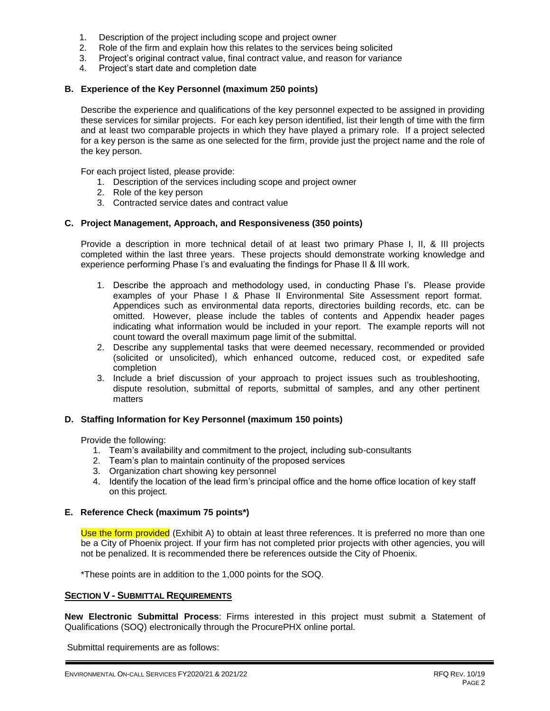- 1. Description of the project including scope and project owner
- 2. Role of the firm and explain how this relates to the services being solicited
- 3. Project's original contract value, final contract value, and reason for variance
- 4. Project's start date and completion date

### **B. Experience of the Key Personnel (maximum 250 points)**

Describe the experience and qualifications of the key personnel expected to be assigned in providing these services for similar projects. For each key person identified, list their length of time with the firm and at least two comparable projects in which they have played a primary role. If a project selected for a key person is the same as one selected for the firm, provide just the project name and the role of the key person.

For each project listed, please provide:

- 1. Description of the services including scope and project owner
- 2. Role of the key person
- 3. Contracted service dates and contract value

### **C. Project Management, Approach, and Responsiveness (350 points)**

Provide a description in more technical detail of at least two primary Phase I, II, & III projects completed within the last three years. These projects should demonstrate working knowledge and experience performing Phase I's and evaluating the findings for Phase II & III work.

- 1. Describe the approach and methodology used, in conducting Phase I's. Please provide examples of your Phase I & Phase II Environmental Site Assessment report format. Appendices such as environmental data reports, directories building records, etc. can be omitted. However, please include the tables of contents and Appendix header pages indicating what information would be included in your report. The example reports will not count toward the overall maximum page limit of the submittal.
- 2. Describe any supplemental tasks that were deemed necessary, recommended or provided (solicited or unsolicited), which enhanced outcome, reduced cost, or expedited safe completion
- 3. Include a brief discussion of your approach to project issues such as troubleshooting, dispute resolution, submittal of reports, submittal of samples, and any other pertinent matters

### **D. Staffing Information for Key Personnel (maximum 150 points)**

Provide the following:

- 1. Team's availability and commitment to the project, including sub-consultants
- 2. Team's plan to maintain continuity of the proposed services
- 3. Organization chart showing key personnel
- 4. Identify the location of the lead firm's principal office and the home office location of key staff on this project.

### **E. Reference Check (maximum 75 points\*)**

Use the form provided (Exhibit A) to obtain at least three references. It is preferred no more than one be a City of Phoenix project. If your firm has not completed prior projects with other agencies, you will not be penalized. It is recommended there be references outside the City of Phoenix.

\*These points are in addition to the 1,000 points for the SOQ.

### **SECTION V - SUBMITTAL REQUIREMENTS**

**New Electronic Submittal Process**: Firms interested in this project must submit a Statement of Qualifications (SOQ) electronically through the ProcurePHX online portal.

Submittal requirements are as follows: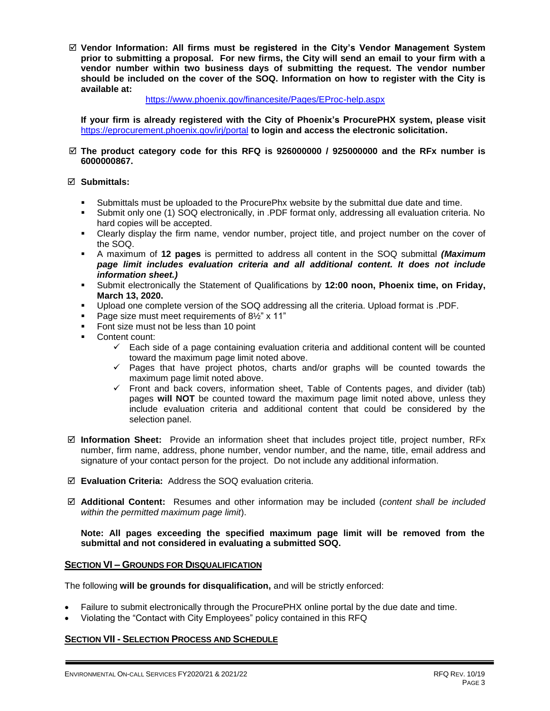**Vendor Information: All firms must be registered in the City's Vendor Management System prior to submitting a proposal. For new firms, the City will send an email to your firm with a vendor number within two business days of submitting the request. The vendor number should be included on the cover of the SOQ. Information on how to register with the City is available at:** 

### <https://www.phoenix.gov/financesite/Pages/EProc-help.aspx>

**If your firm is already registered with the City of Phoenix's ProcurePHX system, please visit**  <https://eprocurement.phoenix.gov/irj/portal> **to login and access the electronic solicitation.**

### **The product category code for this RFQ is 926000000 / 925000000 and the RFx number is 6000000867.**

### **Submittals:**

- Submittals must be uploaded to the ProcurePhx website by the submittal due date and time.
- Submit only one (1) SOQ electronically, in .PDF format only, addressing all evaluation criteria. No hard copies will be accepted.
- Clearly display the firm name, vendor number, project title, and project number on the cover of the SOQ.
- A maximum of **12 pages** is permitted to address all content in the SOQ submittal *(Maximum page limit includes evaluation criteria and all additional content. It does not include information sheet.)*
- Submit electronically the Statement of Qualifications by **12:00 noon, Phoenix time, on Friday, March 13, 2020.**
- Upload one complete version of the SOQ addressing all the criteria. Upload format is .PDF.
- Page size must meet requirements of 8½" x 11"
- Font size must not be less than 10 point
- Content count:
	- $\checkmark$  Each side of a page containing evaluation criteria and additional content will be counted toward the maximum page limit noted above.
	- $\checkmark$  Pages that have project photos, charts and/or graphs will be counted towards the maximum page limit noted above.
	- $\checkmark$  Front and back covers, information sheet, Table of Contents pages, and divider (tab) pages **will NOT** be counted toward the maximum page limit noted above, unless they include evaluation criteria and additional content that could be considered by the selection panel.
- **Information Sheet:** Provide an information sheet that includes project title, project number, RFx number, firm name, address, phone number, vendor number, and the name, title, email address and signature of your contact person for the project. Do not include any additional information.
- **Evaluation Criteria:** Address the SOQ evaluation criteria.
- **Additional Content:** Resumes and other information may be included (*content shall be included within the permitted maximum page limit*).

**Note: All pages exceeding the specified maximum page limit will be removed from the submittal and not considered in evaluating a submitted SOQ.** 

### **SECTION VI – GROUNDS FOR DISQUALIFICATION**

The following **will be grounds for disqualification,** and will be strictly enforced:

- Failure to submit electronically through the ProcurePHX online portal by the due date and time.
- Violating the "Contact with City Employees" policy contained in this RFQ

# **SECTION VII - SELECTION PROCESS AND SCHEDULE**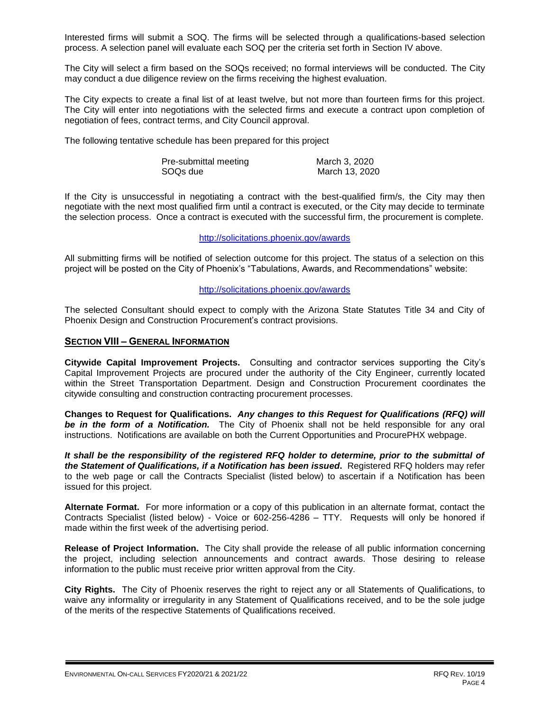Interested firms will submit a SOQ. The firms will be selected through a qualifications-based selection process. A selection panel will evaluate each SOQ per the criteria set forth in Section IV above.

The City will select a firm based on the SOQs received; no formal interviews will be conducted. The City may conduct a due diligence review on the firms receiving the highest evaluation.

The City expects to create a final list of at least twelve, but not more than fourteen firms for this project. The City will enter into negotiations with the selected firms and execute a contract upon completion of negotiation of fees, contract terms, and City Council approval.

The following tentative schedule has been prepared for this project

| Pre-submittal meeting | March 3, 2020  |
|-----------------------|----------------|
| SOQs due              | March 13, 2020 |

If the City is unsuccessful in negotiating a contract with the best-qualified firm/s, the City may then negotiate with the next most qualified firm until a contract is executed, or the City may decide to terminate the selection process. Once a contract is executed with the successful firm, the procurement is complete.

#### http://solicitations.phoenix.gov/awards

All submitting firms will be notified of selection outcome for this project. The status of a selection on this project will be posted on the City of Phoenix's "Tabulations, Awards, and Recommendations" website:

### <http://solicitations.phoenix.gov/awards>

The selected Consultant should expect to comply with the Arizona State Statutes Title 34 and City of Phoenix Design and Construction Procurement's contract provisions.

### **SECTION VIII – GENERAL INFORMATION**

**Citywide Capital Improvement Projects.** Consulting and contractor services supporting the City's Capital Improvement Projects are procured under the authority of the City Engineer, currently located within the Street Transportation Department. Design and Construction Procurement coordinates the citywide consulting and construction contracting procurement processes.

**Changes to Request for Qualifications.** *Any changes to this Request for Qualifications (RFQ) will be in the form of a Notification.* The City of Phoenix shall not be held responsible for any oral instructions. Notifications are available on both the Current Opportunities and ProcurePHX webpage.

*It shall be the responsibility of the registered RFQ holder to determine, prior to the submittal of the Statement of Qualifications, if a Notification has been issued***.** Registered RFQ holders may refer to the web page or call the Contracts Specialist (listed below) to ascertain if a Notification has been issued for this project.

**Alternate Format.** For more information or a copy of this publication in an alternate format, contact the Contracts Specialist (listed below) - Voice or 602-256-4286 – TTY. Requests will only be honored if made within the first week of the advertising period.

**Release of Project Information.** The City shall provide the release of all public information concerning the project, including selection announcements and contract awards. Those desiring to release information to the public must receive prior written approval from the City.

**City Rights.** The City of Phoenix reserves the right to reject any or all Statements of Qualifications, to waive any informality or irregularity in any Statement of Qualifications received, and to be the sole judge of the merits of the respective Statements of Qualifications received.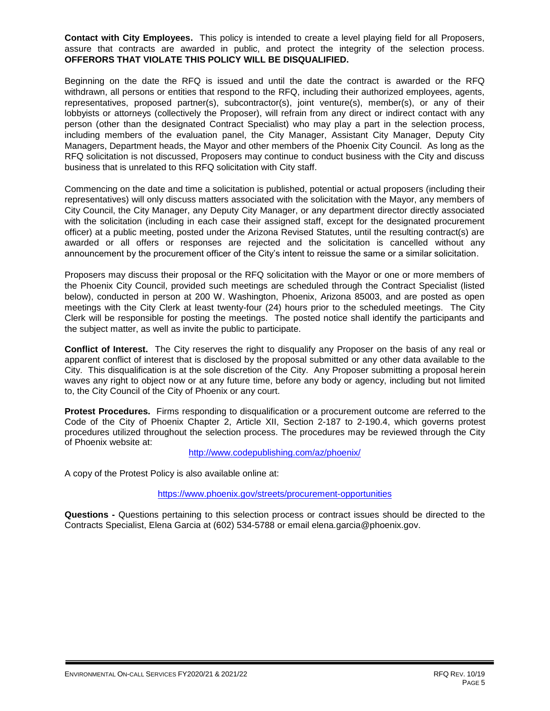**Contact with City Employees.** This policy is intended to create a level playing field for all Proposers, assure that contracts are awarded in public, and protect the integrity of the selection process. **OFFERORS THAT VIOLATE THIS POLICY WILL BE DISQUALIFIED.**

Beginning on the date the RFQ is issued and until the date the contract is awarded or the RFQ withdrawn, all persons or entities that respond to the RFQ, including their authorized employees, agents, representatives, proposed partner(s), subcontractor(s), joint venture(s), member(s), or any of their lobbyists or attorneys (collectively the Proposer), will refrain from any direct or indirect contact with any person (other than the designated Contract Specialist) who may play a part in the selection process, including members of the evaluation panel, the City Manager, Assistant City Manager, Deputy City Managers, Department heads, the Mayor and other members of the Phoenix City Council. As long as the RFQ solicitation is not discussed, Proposers may continue to conduct business with the City and discuss business that is unrelated to this RFQ solicitation with City staff.

Commencing on the date and time a solicitation is published, potential or actual proposers (including their representatives) will only discuss matters associated with the solicitation with the Mayor, any members of City Council, the City Manager, any Deputy City Manager, or any department director directly associated with the solicitation (including in each case their assigned staff, except for the designated procurement officer) at a public meeting, posted under the Arizona Revised Statutes, until the resulting contract(s) are awarded or all offers or responses are rejected and the solicitation is cancelled without any announcement by the procurement officer of the City's intent to reissue the same or a similar solicitation.

Proposers may discuss their proposal or the RFQ solicitation with the Mayor or one or more members of the Phoenix City Council, provided such meetings are scheduled through the Contract Specialist (listed below), conducted in person at 200 W. Washington, Phoenix, Arizona 85003, and are posted as open meetings with the City Clerk at least twenty-four (24) hours prior to the scheduled meetings. The City Clerk will be responsible for posting the meetings. The posted notice shall identify the participants and the subject matter, as well as invite the public to participate.

**Conflict of Interest.** The City reserves the right to disqualify any Proposer on the basis of any real or apparent conflict of interest that is disclosed by the proposal submitted or any other data available to the City. This disqualification is at the sole discretion of the City. Any Proposer submitting a proposal herein waves any right to object now or at any future time, before any body or agency, including but not limited to, the City Council of the City of Phoenix or any court.

**Protest Procedures.** Firms responding to disqualification or a procurement outcome are referred to the Code of the City of Phoenix Chapter 2, Article XII, Section 2-187 to 2-190.4, which governs protest procedures utilized throughout the selection process. The procedures may be reviewed through the City of Phoenix website at:

<http://www.codepublishing.com/az/phoenix/>

A copy of the Protest Policy is also available online at:

<https://www.phoenix.gov/streets/procurement-opportunities>

**Questions -** Questions pertaining to this selection process or contract issues should be directed to the Contracts Specialist, Elena Garcia at (602) 534-5788 or email elena.garcia@phoenix.gov.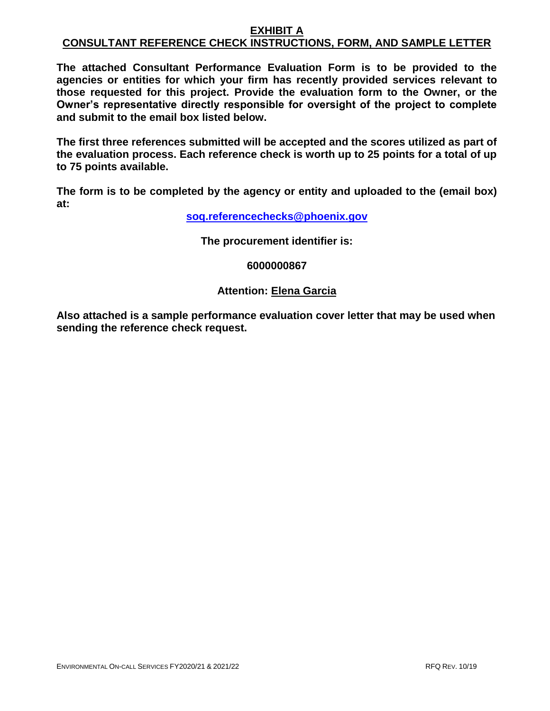# **EXHIBIT A CONSULTANT REFERENCE CHECK INSTRUCTIONS, FORM, AND SAMPLE LETTER**

**The attached Consultant Performance Evaluation Form is to be provided to the agencies or entities for which your firm has recently provided services relevant to those requested for this project. Provide the evaluation form to the Owner, or the Owner's representative directly responsible for oversight of the project to complete and submit to the email box listed below.**

**The first three references submitted will be accepted and the scores utilized as part of the evaluation process. Each reference check is worth up to 25 points for a total of up to 75 points available.**

**The form is to be completed by the agency or entity and uploaded to the (email box) at:**

**[soq.referencechecks@phoenix.gov](mailto:soq.referencechecks@phoenix.gov)**

**The procurement identifier is:**

**6000000867**

# **Attention: Elena Garcia**

**Also attached is a sample performance evaluation cover letter that may be used when sending the reference check request.**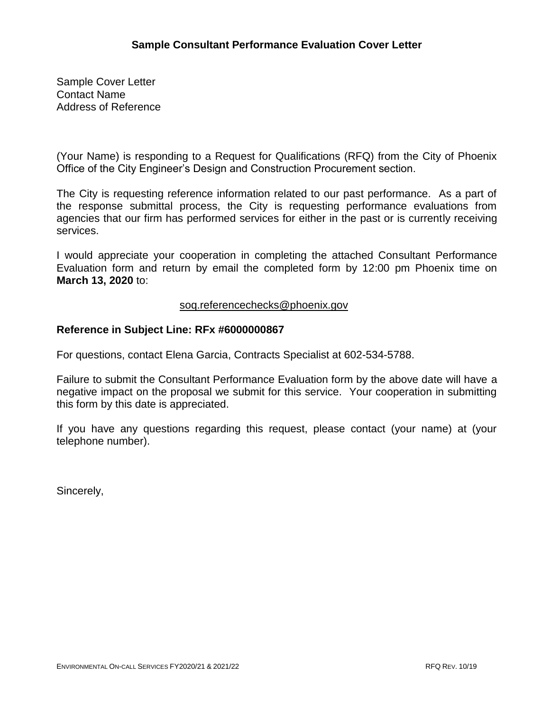Sample Cover Letter Contact Name Address of Reference

(Your Name) is responding to a Request for Qualifications (RFQ) from the City of Phoenix Office of the City Engineer's Design and Construction Procurement section.

The City is requesting reference information related to our past performance. As a part of the response submittal process, the City is requesting performance evaluations from agencies that our firm has performed services for either in the past or is currently receiving services.

I would appreciate your cooperation in completing the attached Consultant Performance Evaluation form and return by email the completed form by 12:00 pm Phoenix time on **March 13, 2020** to:

# [soq.referencechecks@phoenix.gov](mailto:soq.referencechecks@phoenix.gov)

# **Reference in Subject Line: RFx #6000000867**

For questions, contact Elena Garcia, Contracts Specialist at 602-534-5788.

Failure to submit the Consultant Performance Evaluation form by the above date will have a negative impact on the proposal we submit for this service. Your cooperation in submitting this form by this date is appreciated.

If you have any questions regarding this request, please contact (your name) at (your telephone number).

Sincerely,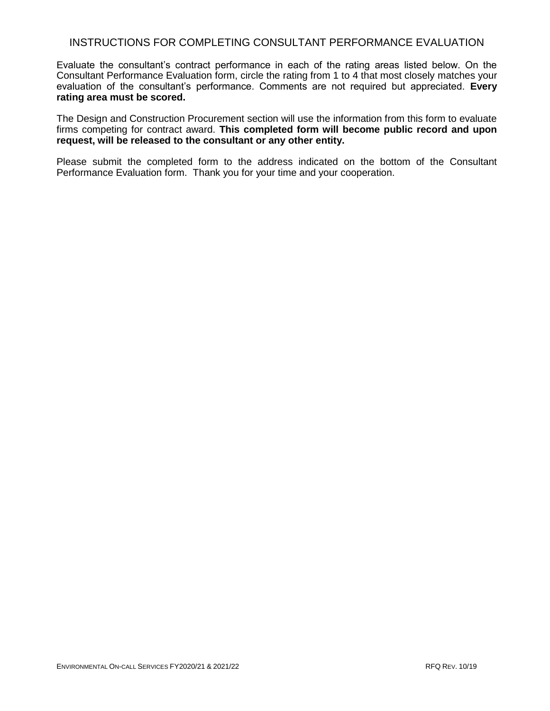# INSTRUCTIONS FOR COMPLETING CONSULTANT PERFORMANCE EVALUATION

Evaluate the consultant's contract performance in each of the rating areas listed below. On the Consultant Performance Evaluation form, circle the rating from 1 to 4 that most closely matches your evaluation of the consultant's performance. Comments are not required but appreciated. **Every rating area must be scored.** 

The Design and Construction Procurement section will use the information from this form to evaluate firms competing for contract award. **This completed form will become public record and upon request, will be released to the consultant or any other entity.**

Please submit the completed form to the address indicated on the bottom of the Consultant Performance Evaluation form. Thank you for your time and your cooperation.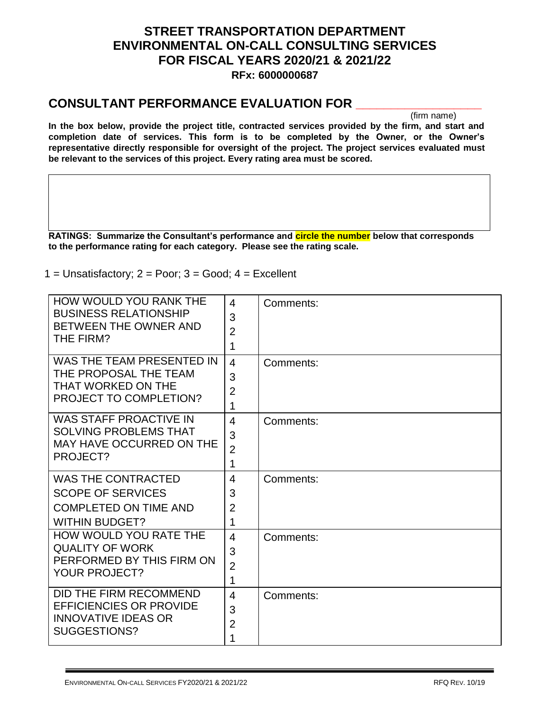# **STREET TRANSPORTATION DEPARTMENT ENVIRONMENTAL ON-CALL CONSULTING SERVICES FOR FISCAL YEARS 2020/21 & 2021/22 RFx: 6000000687**

# **CONSULTANT PERFORMANCE EVALUATION FOR \_\_\_\_\_\_\_\_\_\_\_\_\_\_\_\_\_\_**

(firm name)

**In the box below, provide the project title, contracted services provided by the firm, and start and completion date of services. This form is to be completed by the Owner, or the Owner's representative directly responsible for oversight of the project. The project services evaluated must be relevant to the services of this project. Every rating area must be scored.** 

**RATINGS: Summarize the Consultant's performance and circle the number below that corresponds to the performance rating for each category. Please see the rating scale.**

1 = Unsatisfactory;  $2 = \text{Poor}$ ;  $3 = \text{Good}$ ;  $4 = \text{Excellent}$ 

| <b>HOW WOULD YOU RANK THE</b><br><b>BUSINESS RELATIONSHIP</b><br>BETWEEN THE OWNER AND<br>THE FIRM?            | 4<br>3<br>$\overline{2}$<br>1              | Comments: |
|----------------------------------------------------------------------------------------------------------------|--------------------------------------------|-----------|
| WAS THE TEAM PRESENTED IN<br>THE PROPOSAL THE TEAM<br>THAT WORKED ON THE<br><b>PROJECT TO COMPLETION?</b>      | $\overline{4}$<br>3<br>$\overline{2}$<br>1 | Comments: |
| <b>WAS STAFF PROACTIVE IN</b><br><b>SOLVING PROBLEMS THAT</b><br><b>MAY HAVE OCCURRED ON THE</b><br>PROJECT?   | $\overline{4}$<br>3<br>$\overline{2}$<br>1 | Comments: |
| <b>WAS THE CONTRACTED</b><br><b>SCOPE OF SERVICES</b><br><b>COMPLETED ON TIME AND</b><br><b>WITHIN BUDGET?</b> | 4<br>3<br>$\overline{2}$<br>1              | Comments: |
| HOW WOULD YOU RATE THE<br><b>QUALITY OF WORK</b><br>PERFORMED BY THIS FIRM ON<br><b>YOUR PROJECT?</b>          | $\overline{4}$<br>3<br>$\overline{2}$<br>1 | Comments: |
| DID THE FIRM RECOMMEND<br><b>EFFICIENCIES OR PROVIDE</b><br><b>INNOVATIVE IDEAS OR</b><br>SUGGESTIONS?         | $\overline{4}$<br>3<br>$\overline{2}$<br>1 | Comments: |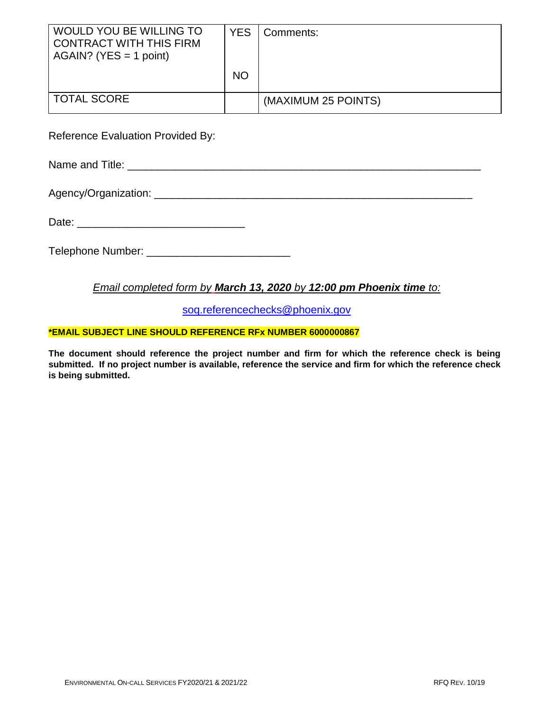| WOULD YOU BE WILLING TO<br><b>CONTRACT WITH THIS FIRM</b><br>$AGAIN?$ (YES = 1 point) | YES.      | Comments:           |
|---------------------------------------------------------------------------------------|-----------|---------------------|
|                                                                                       | <b>NO</b> |                     |
| <b>TOTAL SCORE</b>                                                                    |           | (MAXIMUM 25 POINTS) |

Reference Evaluation Provided By:

Name and Title: **We are all that the set of the set of the set of the set of the set of the set of the set of the set of the set of the set of the set of the set of the set of the set of the set of the set of the set of th** 

Agency/Organization: \_\_\_\_\_\_\_\_\_\_\_\_\_\_\_\_\_\_\_\_\_\_\_\_\_\_\_\_\_\_\_\_\_\_\_\_\_\_\_\_\_\_\_\_\_\_\_\_\_\_\_\_\_

Date: \_\_\_\_\_\_\_\_\_\_\_\_\_\_\_\_\_\_\_\_\_\_\_\_\_\_\_\_

Telephone Number: \_\_\_\_\_\_\_\_\_\_\_\_\_\_\_\_\_\_\_\_\_\_\_\_

# *Email completed form by March 13, 2020 by 12:00 pm Phoenix time to:*

[soq.referencechecks@phoenix.gov](mailto:soq.referencechecks@phoenix.gov)

# **\*EMAIL SUBJECT LINE SHOULD REFERENCE RFx NUMBER 6000000867**

**The document should reference the project number and firm for which the reference check is being submitted. If no project number is available, reference the service and firm for which the reference check is being submitted.**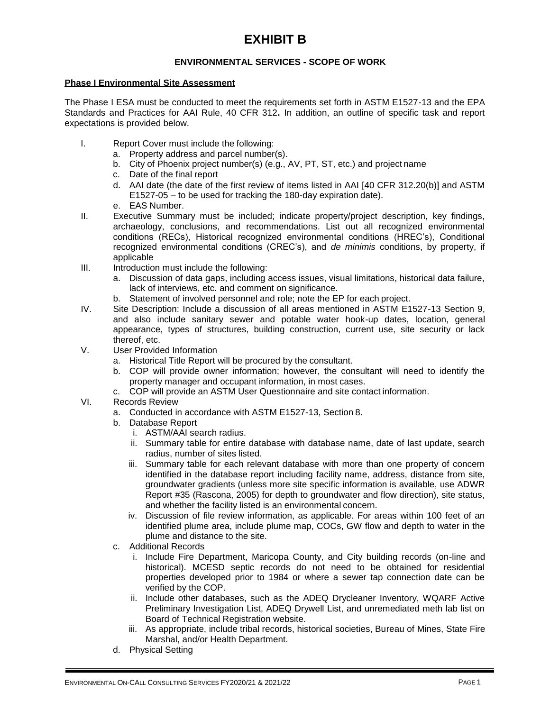# **EXHIBIT B**

# **ENVIRONMENTAL SERVICES - SCOPE OF WORK**

### **Phase I Environmental Site Assessment**

The Phase I ESA must be conducted to meet the requirements set forth in ASTM E1527-13 and the EPA Standards and Practices for AAI Rule, 40 CFR 312**.** In addition, an outline of specific task and report expectations is provided below.

- I. Report Cover must include the following:
	- a. Property address and parcel number(s).
	- b. City of Phoenix project number(s) (e.g., AV, PT, ST, etc.) and project name
	- c. Date of the final report
	- d. AAI date (the date of the first review of items listed in AAI [40 CFR 312.20(b)] and ASTM E1527-05 – to be used for tracking the 180-day expiration date).
	- e. EAS Number.
- II. Executive Summary must be included; indicate property/project description, key findings, archaeology, conclusions, and recommendations. List out all recognized environmental conditions (RECs), Historical recognized environmental conditions (HREC's), Conditional recognized environmental conditions (CREC's), and *de minimis* conditions, by property, if applicable
- III. Introduction must include the following:
	- a. Discussion of data gaps, including access issues, visual limitations, historical data failure, lack of interviews, etc. and comment on significance.
	- b. Statement of involved personnel and role; note the EP for each project.
- IV. Site Description: Include a discussion of all areas mentioned in ASTM E1527-13 Section 9, and also include sanitary sewer and potable water hook-up dates, location, general appearance, types of structures, building construction, current use, site security or lack thereof, etc.
- V. User Provided Information
	- a. Historical Title Report will be procured by the consultant.
	- b. COP will provide owner information; however, the consultant will need to identify the property manager and occupant information, in most cases.
	- c. COP will provide an ASTM User Questionnaire and site contact information.
- VI. Records Review
	- a. Conducted in accordance with ASTM E1527-13, Section 8.
	- b. Database Report
		- i. ASTM/AAI search radius.
		- ii. Summary table for entire database with database name, date of last update, search radius, number of sites listed.
		- iii. Summary table for each relevant database with more than one property of concern identified in the database report including facility name, address, distance from site, groundwater gradients (unless more site specific information is available, use ADWR Report #35 (Rascona, 2005) for depth to groundwater and flow direction), site status, and whether the facility listed is an environmental concern.
		- iv. Discussion of file review information, as applicable. For areas within 100 feet of an identified plume area, include plume map, COCs, GW flow and depth to water in the plume and distance to the site.
	- c. Additional Records
		- i. Include Fire Department, Maricopa County, and City building records (on-line and historical). MCESD septic records do not need to be obtained for residential properties developed prior to 1984 or where a sewer tap connection date can be verified by the COP.
		- ii. Include other databases, such as the ADEQ Drycleaner Inventory, WQARF Active Preliminary Investigation List, ADEQ Drywell List, and unremediated meth lab list on Board of Technical Registration website.
		- iii. As appropriate, include tribal records, historical societies, Bureau of Mines, State Fire Marshal, and/or Health Department.
	- d. Physical Setting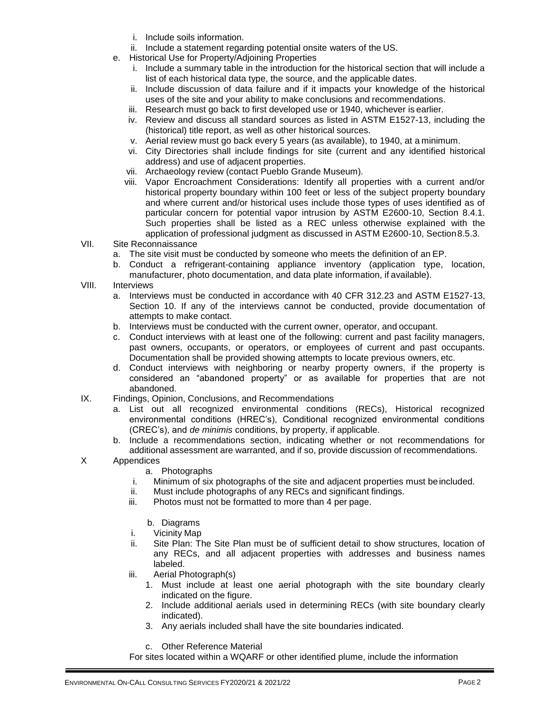- i. Include soils information.
- ii. Include a statement regarding potential onsite waters of the US.
- e. Historical Use for Property/Adjoining Properties
	- i. Include a summary table in the introduction for the historical section that will include a list of each historical data type, the source, and the applicable dates.
	- ii. Include discussion of data failure and if it impacts your knowledge of the historical uses of the site and your ability to make conclusions and recommendations.
	- iii. Research must go back to first developed use or 1940, whichever is earlier.
	- iv. Review and discuss all standard sources as listed in ASTM E1527-13, including the (historical) title report, as well as other historical sources.
	- v. Aerial review must go back every 5 years (as available), to 1940, at a minimum.
	- vi. City Directories shall include findings for site (current and any identified historical address) and use of adjacent properties.
	- vii. Archaeology review (contact Pueblo Grande Museum).
	- viii. Vapor Encroachment Considerations: Identify all properties with a current and/or historical property boundary within 100 feet or less of the subject property boundary and where current and/or historical uses include those types of uses identified as of particular concern for potential vapor intrusion by ASTM E2600-10, Section 8.4.1. Such properties shall be listed as a REC unless otherwise explained with the application of professional judgment as discussed in ASTM E2600-10, Section8.5.3.
- VII. Site Reconnaissance
	- a. The site visit must be conducted by someone who meets the definition of an EP.
	- b. Conduct a refrigerant-containing appliance inventory (application type, location, manufacturer, photo documentation, and data plate information, if available).
- VIII. Interviews
	- a. Interviews must be conducted in accordance with 40 CFR 312.23 and ASTM E1527-13, Section 10. If any of the interviews cannot be conducted, provide documentation of attempts to make contact.
	- b. Interviews must be conducted with the current owner, operator, and occupant.
	- c. Conduct interviews with at least one of the following: current and past facility managers, past owners, occupants, or operators, or employees of current and past occupants. Documentation shall be provided showing attempts to locate previous owners, etc.
	- d. Conduct interviews with neighboring or nearby property owners, if the property is considered an "abandoned property" or as available for properties that are not abandoned.
- IX. Findings, Opinion, Conclusions, and Recommendations
	- a. List out all recognized environmental conditions (RECs), Historical recognized environmental conditions (HREC's), Conditional recognized environmental conditions (CREC's), and *de minimis* conditions, by property, if applicable.
	- b. Include a recommendations section, indicating whether or not recommendations for additional assessment are warranted, and if so, provide discussion of recommendations.

# X Appendices

- a. Photographs
- i. Minimum of six photographs of the site and adjacent properties must beincluded.
- ii. Must include photographs of any RECs and significant findings.
- iii. Photos must not be formatted to more than 4 per page.
	- b. Diagrams
- i. Vicinity Map
- ii. Site Plan: The Site Plan must be of sufficient detail to show structures, location of any RECs, and all adjacent properties with addresses and business names labeled.
- iii. Aerial Photograph(s)
	- 1. Must include at least one aerial photograph with the site boundary clearly indicated on the figure.
	- 2. Include additional aerials used in determining RECs (with site boundary clearly indicated).
	- 3. Any aerials included shall have the site boundaries indicated.
	- c. Other Reference Material

For sites located within a WQARF or other identified plume, include the information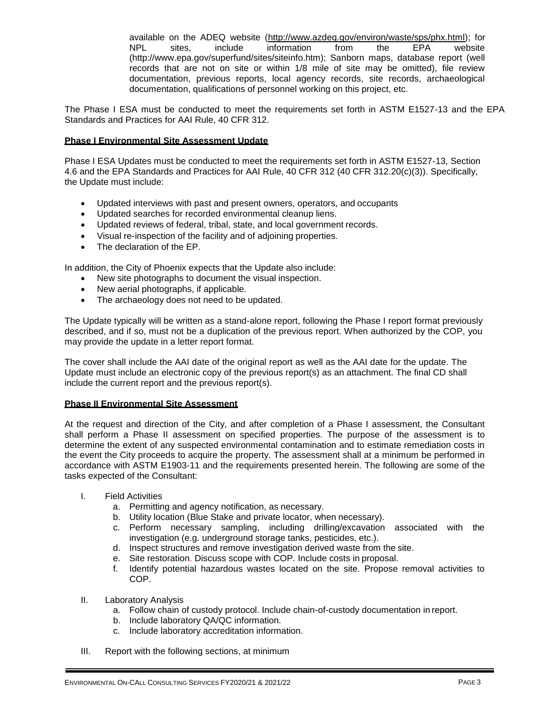available on the ADEQ website [\(http://www.azdeq.gov/environ/waste/sps/phx.html\);](http://www.azdeq.gov/environ/waste/sps/phx.html)%3B) for NPL sites, include information from the EPA website [\(http://www.epa.gov/superfund/sites/siteinfo.htm\);](http://www.epa.gov/superfund/sites/siteinfo.htm)%3B) Sanborn maps, database report (well records that are not on site or within 1/8 mile of site may be omitted), file review documentation, previous reports, local agency records, site records, archaeological documentation, qualifications of personnel working on this project, etc.

The Phase I ESA must be conducted to meet the requirements set forth in ASTM E1527-13 and the EPA Standards and Practices for AAI Rule, 40 CFR 312.

### **Phase I Environmental Site Assessment Update**

Phase I ESA Updates must be conducted to meet the requirements set forth in ASTM E1527-13, Section 4.6 and the EPA Standards and Practices for AAI Rule, 40 CFR 312 (40 CFR 312.20(c)(3)). Specifically, the Update must include:

- Updated interviews with past and present owners, operators, and occupants
- Updated searches for recorded environmental cleanup liens.
- Updated reviews of federal, tribal, state, and local government records.
- Visual re-inspection of the facility and of adjoining properties.
- The declaration of the EP.

In addition, the City of Phoenix expects that the Update also include:

- New site photographs to document the visual inspection.
- New aerial photographs, if applicable.
- The archaeology does not need to be updated.

The Update typically will be written as a stand-alone report, following the Phase I report format previously described, and if so, must not be a duplication of the previous report. When authorized by the COP, you may provide the update in a letter report format.

The cover shall include the AAI date of the original report as well as the AAI date for the update. The Update must include an electronic copy of the previous report(s) as an attachment. The final CD shall include the current report and the previous report(s).

### **Phase II Environmental Site Assessment**

At the request and direction of the City, and after completion of a Phase I assessment, the Consultant shall perform a Phase II assessment on specified properties. The purpose of the assessment is to determine the extent of any suspected environmental contamination and to estimate remediation costs in the event the City proceeds to acquire the property. The assessment shall at a minimum be performed in accordance with ASTM E1903-11 and the requirements presented herein. The following are some of the tasks expected of the Consultant:

- I. Field Activities
	- a. Permitting and agency notification, as necessary.
	- b. Utility location (Blue Stake and private locator, when necessary).
	- c. Perform necessary sampling, including drilling/excavation associated with the investigation (e.g. underground storage tanks, pesticides, etc.).
	- d. Inspect structures and remove investigation derived waste from the site.
	- e. Site restoration. Discuss scope with COP. Include costs in proposal.<br>f. Identify potential hazardous wastes located on the site. Propose
	- Identify potential hazardous wastes located on the site. Propose removal activities to COP.
- II. Laboratory Analysis
	- a. Follow chain of custody protocol. Include chain-of-custody documentation in report.
	- b. Include laboratory QA/QC information.
	- c. Include laboratory accreditation information.
- III. Report with the following sections, at minimum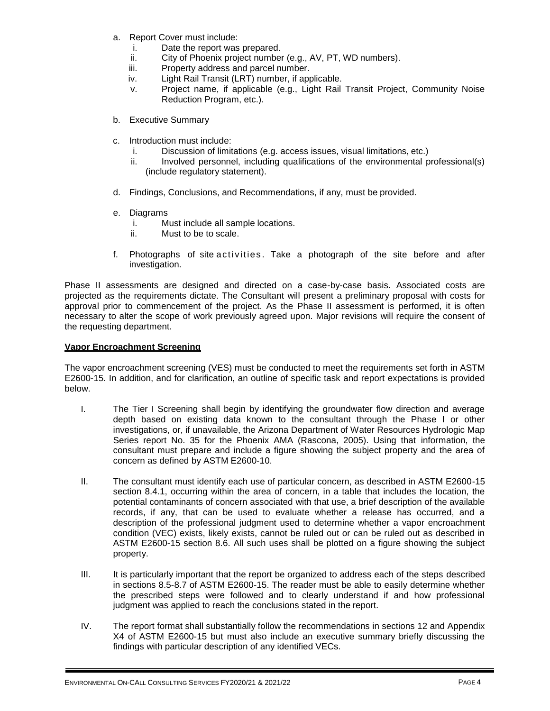- a. Report Cover must include:
	- i. Date the report was prepared.
	- ii. City of Phoenix project number (e.g., AV, PT, WD numbers).
	- iii. Property address and parcel number.
	- iv. Light Rail Transit (LRT) number, if applicable.
	- v. Project name, if applicable (e.g., Light Rail Transit Project, Community Noise Reduction Program, etc.).
- b. Executive Summary
- c. Introduction must include:
	- i. Discussion of limitations (e.g. access issues, visual limitations, etc.)
	- ii. Involved personnel, including qualifications of the environmental professional(s) (include regulatory statement).
- d. Findings, Conclusions, and Recommendations, if any, must be provided.
- e. Diagrams
	- i. Must include all sample locations.
	- ii. Must to be to scale.
- f. Photographs of site activities . Take a photograph of the site before and after investigation.

Phase II assessments are designed and directed on a case-by-case basis. Associated costs are projected as the requirements dictate. The Consultant will present a preliminary proposal with costs for approval prior to commencement of the project. As the Phase II assessment is performed, it is often necessary to alter the scope of work previously agreed upon. Major revisions will require the consent of the requesting department.

### **Vapor Encroachment Screening**

The vapor encroachment screening (VES) must be conducted to meet the requirements set forth in ASTM E2600-15. In addition, and for clarification, an outline of specific task and report expectations is provided below.

- I. The Tier I Screening shall begin by identifying the groundwater flow direction and average depth based on existing data known to the consultant through the Phase I or other investigations, or, if unavailable, the Arizona Department of Water Resources Hydrologic Map Series report No. 35 for the Phoenix AMA (Rascona, 2005). Using that information, the consultant must prepare and include a figure showing the subject property and the area of concern as defined by ASTM E2600-10.
- II. The consultant must identify each use of particular concern, as described in ASTM E2600-15 section 8.4.1, occurring within the area of concern, in a table that includes the location, the potential contaminants of concern associated with that use, a brief description of the available records, if any, that can be used to evaluate whether a release has occurred, and a description of the professional judgment used to determine whether a vapor encroachment condition (VEC) exists, likely exists, cannot be ruled out or can be ruled out as described in ASTM E2600-15 section 8.6. All such uses shall be plotted on a figure showing the subject property.
- III. It is particularly important that the report be organized to address each of the steps described in sections 8.5-8.7 of ASTM E2600-15. The reader must be able to easily determine whether the prescribed steps were followed and to clearly understand if and how professional judgment was applied to reach the conclusions stated in the report.
- IV. The report format shall substantially follow the recommendations in sections 12 and Appendix X4 of ASTM E2600-15 but must also include an executive summary briefly discussing the findings with particular description of any identified VECs.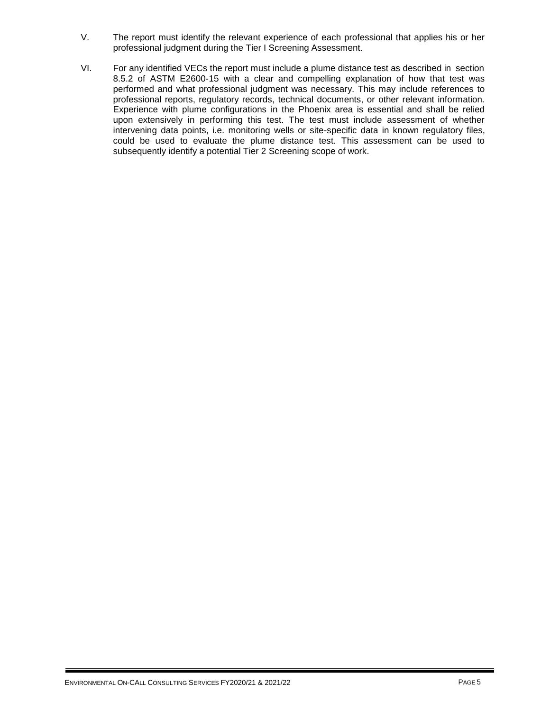- V. The report must identify the relevant experience of each professional that applies his or her professional judgment during the Tier I Screening Assessment.
- VI. For any identified VECs the report must include a plume distance test as described in section 8.5.2 of ASTM E2600-15 with a clear and compelling explanation of how that test was performed and what professional judgment was necessary. This may include references to professional reports, regulatory records, technical documents, or other relevant information. Experience with plume configurations in the Phoenix area is essential and shall be relied upon extensively in performing this test. The test must include assessment of whether intervening data points, i.e. monitoring wells or site-specific data in known regulatory files, could be used to evaluate the plume distance test. This assessment can be used to subsequently identify a potential Tier 2 Screening scope of work.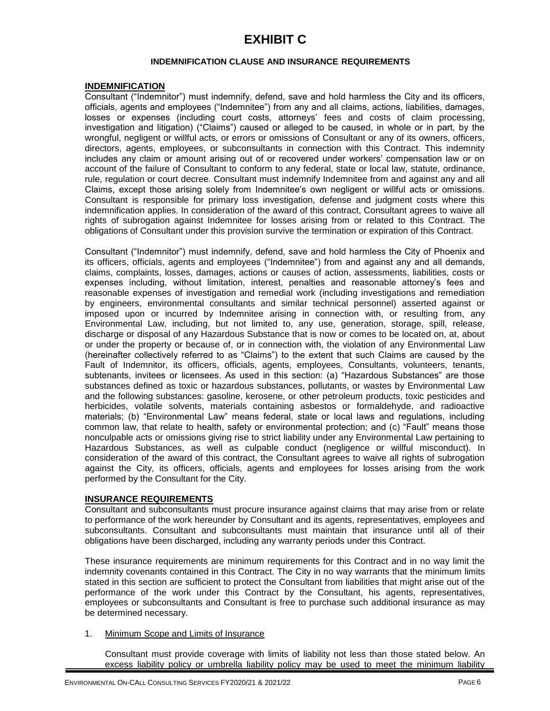# **EXHIBIT C**

### **INDEMNIFICATION CLAUSE AND INSURANCE REQUIREMENTS**

### **INDEMNIFICATION**

Consultant ("Indemnitor") must indemnify, defend, save and hold harmless the City and its officers, officials, agents and employees ("Indemnitee") from any and all claims, actions, liabilities, damages, losses or expenses (including court costs, attorneys' fees and costs of claim processing, investigation and litigation) ("Claims") caused or alleged to be caused, in whole or in part, by the wrongful, negligent or willful acts, or errors or omissions of Consultant or any of its owners, officers, directors, agents, employees, or subconsultants in connection with this Contract. This indemnity includes any claim or amount arising out of or recovered under workers' compensation law or on account of the failure of Consultant to conform to any federal, state or local law, statute, ordinance, rule, regulation or court decree. Consultant must indemnify Indemnitee from and against any and all Claims, except those arising solely from Indemnitee's own negligent or willful acts or omissions. Consultant is responsible for primary loss investigation, defense and judgment costs where this indemnification applies. In consideration of the award of this contract, Consultant agrees to waive all rights of subrogation against Indemnitee for losses arising from or related to this Contract. The obligations of Consultant under this provision survive the termination or expiration of this Contract.

Consultant ("Indemnitor") must indemnify, defend, save and hold harmless the City of Phoenix and its officers, officials, agents and employees ("Indemnitee") from and against any and all demands, claims, complaints, losses, damages, actions or causes of action, assessments, liabilities, costs or expenses including, without limitation, interest, penalties and reasonable attorney's fees and reasonable expenses of investigation and remedial work (including investigations and remediation by engineers, environmental consultants and similar technical personnel) asserted against or imposed upon or incurred by Indemnitee arising in connection with, or resulting from, any Environmental Law, including, but not limited to, any use, generation, storage, spill, release, discharge or disposal of any Hazardous Substance that is now or comes to be located on, at, about or under the property or because of, or in connection with, the violation of any Environmental Law (hereinafter collectively referred to as "Claims") to the extent that such Claims are caused by the Fault of Indemnitor, its officers, officials, agents, employees, Consultants, volunteers, tenants, subtenants, invitees or licensees. As used in this section: (a) "Hazardous Substances" are those substances defined as toxic or hazardous substances, pollutants, or wastes by Environmental Law and the following substances: gasoline, kerosene, or other petroleum products, toxic pesticides and herbicides, volatile solvents, materials containing asbestos or formaldehyde, and radioactive materials; (b) "Environmental Law" means federal, state or local laws and regulations, including common law, that relate to health, safety or environmental protection; and (c) "Fault" means those nonculpable acts or omissions giving rise to strict liability under any Environmental Law pertaining to Hazardous Substances, as well as culpable conduct (negligence or willful misconduct). In consideration of the award of this contract, the Consultant agrees to waive all rights of subrogation against the City, its officers, officials, agents and employees for losses arising from the work performed by the Consultant for the City.

# **INSURANCE REQUIREMENTS**

Consultant and subconsultants must procure insurance against claims that may arise from or relate to performance of the work hereunder by Consultant and its agents, representatives, employees and subconsultants. Consultant and subconsultants must maintain that insurance until all of their obligations have been discharged, including any warranty periods under this Contract.

These insurance requirements are minimum requirements for this Contract and in no way limit the indemnity covenants contained in this Contract. The City in no way warrants that the minimum limits stated in this section are sufficient to protect the Consultant from liabilities that might arise out of the performance of the work under this Contract by the Consultant, his agents, representatives, employees or subconsultants and Consultant is free to purchase such additional insurance as may be determined necessary.

1. Minimum Scope and Limits of Insurance

Consultant must provide coverage with limits of liability not less than those stated below. An excess liability policy or umbrella liability policy may be used to meet the minimum liability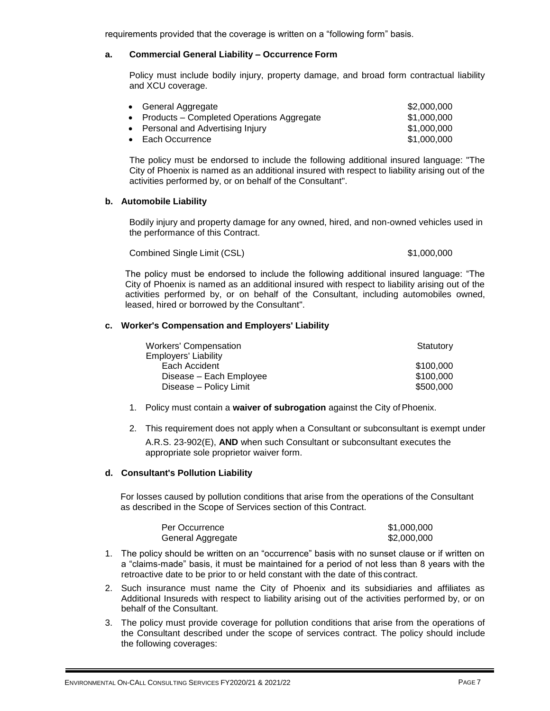requirements provided that the coverage is written on a "following form" basis.

### **a. Commercial General Liability – Occurrence Form**

Policy must include bodily injury, property damage, and broad form contractual liability and XCU coverage.

| • General Aggregate                         | \$2,000,000 |
|---------------------------------------------|-------------|
| • Products – Completed Operations Aggregate | \$1,000,000 |
| • Personal and Advertising Injury           | \$1,000,000 |
| • Each Occurrence                           | \$1,000,000 |

The policy must be endorsed to include the following additional insured language: "The City of Phoenix is named as an additional insured with respect to liability arising out of the activities performed by, or on behalf of the Consultant".

### **b. Automobile Liability**

Bodily injury and property damage for any owned, hired, and non-owned vehicles used in the performance of this Contract.

Combined Single Limit (CSL) \$1,000,000 \$1,000,000

The policy must be endorsed to include the following additional insured language: "The City of Phoenix is named as an additional insured with respect to liability arising out of the activities performed by, or on behalf of the Consultant, including automobiles owned, leased, hired or borrowed by the Consultant".

### **c. Worker's Compensation and Employers' Liability**

| <b>Workers' Compensation</b> | Statutory |
|------------------------------|-----------|
| <b>Employers' Liability</b>  |           |
| Each Accident                | \$100,000 |
| Disease - Each Employee      | \$100,000 |
| Disease - Policy Limit       | \$500,000 |

- 1. Policy must contain a **waiver of subrogation** against the City ofPhoenix.
- 2. This requirement does not apply when a Consultant or subconsultant is exempt under A.R.S. 23-902(E), **AND** when such Consultant or subconsultant executes the appropriate sole proprietor waiver form.

### **d. Consultant's Pollution Liability**

For losses caused by pollution conditions that arise from the operations of the Consultant as described in the Scope of Services section of this Contract.

| Per Occurrence    | \$1,000,000 |
|-------------------|-------------|
| General Aggregate | \$2,000,000 |

- 1. The policy should be written on an "occurrence" basis with no sunset clause or if written on a "claims-made" basis, it must be maintained for a period of not less than 8 years with the retroactive date to be prior to or held constant with the date of this contract.
- 2. Such insurance must name the City of Phoenix and its subsidiaries and affiliates as Additional Insureds with respect to liability arising out of the activities performed by, or on behalf of the Consultant.
- 3. The policy must provide coverage for pollution conditions that arise from the operations of the Consultant described under the scope of services contract. The policy should include the following coverages: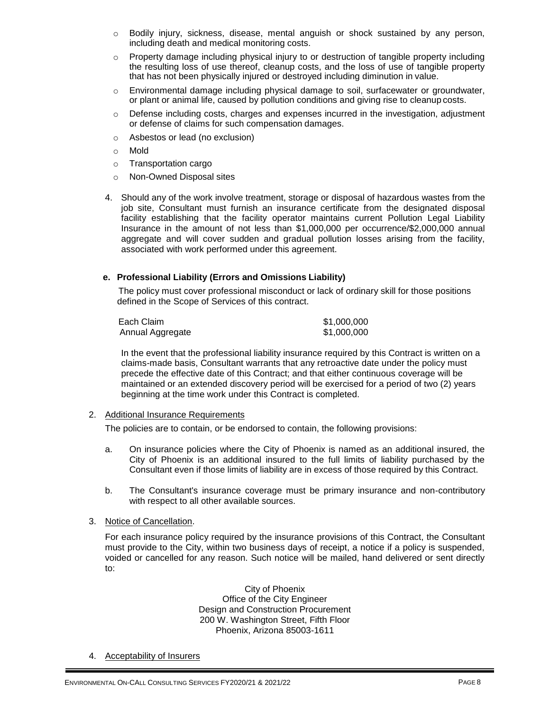- $\circ$  Bodily injury, sickness, disease, mental anguish or shock sustained by any person, including death and medical monitoring costs.
- o Property damage including physical injury to or destruction of tangible property including the resulting loss of use thereof, cleanup costs, and the loss of use of tangible property that has not been physically injured or destroyed including diminution in value.
- $\circ$  Environmental damage including physical damage to soil, surfacewater or groundwater, or plant or animal life, caused by pollution conditions and giving rise to cleanup costs.
- $\circ$  Defense including costs, charges and expenses incurred in the investigation, adjustment or defense of claims for such compensation damages.
- o Asbestos or lead (no exclusion)
- o Mold
- o Transportation cargo
- o Non-Owned Disposal sites
- 4. Should any of the work involve treatment, storage or disposal of hazardous wastes from the job site, Consultant must furnish an insurance certificate from the designated disposal facility establishing that the facility operator maintains current Pollution Legal Liability Insurance in the amount of not less than \$1,000,000 per occurrence/\$2,000,000 annual aggregate and will cover sudden and gradual pollution losses arising from the facility, associated with work performed under this agreement.

### **e. Professional Liability (Errors and Omissions Liability)**

The policy must cover professional misconduct or lack of ordinary skill for those positions defined in the Scope of Services of this contract.

| Each Claim       | \$1,000,000 |
|------------------|-------------|
| Annual Aggregate | \$1,000,000 |

In the event that the professional liability insurance required by this Contract is written on a claims-made basis, Consultant warrants that any retroactive date under the policy must precede the effective date of this Contract; and that either continuous coverage will be maintained or an extended discovery period will be exercised for a period of two (2) years beginning at the time work under this Contract is completed.

2. Additional Insurance Requirements

The policies are to contain, or be endorsed to contain, the following provisions:

- a. On insurance policies where the City of Phoenix is named as an additional insured, the City of Phoenix is an additional insured to the full limits of liability purchased by the Consultant even if those limits of liability are in excess of those required by this Contract.
- b. The Consultant's insurance coverage must be primary insurance and non-contributory with respect to all other available sources.
- 3. Notice of Cancellation.

For each insurance policy required by the insurance provisions of this Contract, the Consultant must provide to the City, within two business days of receipt, a notice if a policy is suspended, voided or cancelled for any reason. Such notice will be mailed, hand delivered or sent directly to:

> City of Phoenix Office of the City Engineer Design and Construction Procurement 200 W. Washington Street, Fifth Floor Phoenix, Arizona 85003-1611

4. Acceptability of Insurers